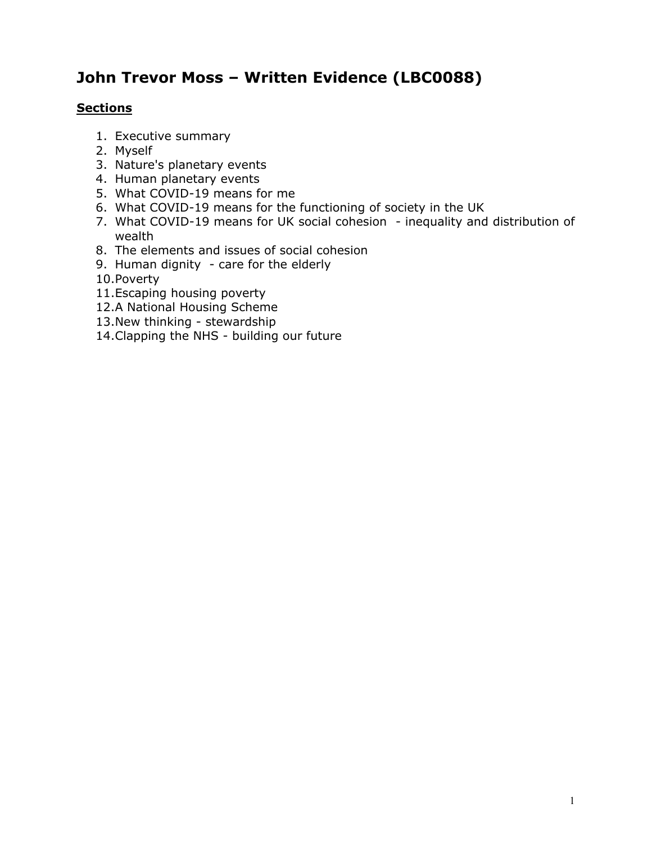# **John Trevor Moss – Written Evidence (LBC0088)**

## **Sections**

- 1. Executive summary
- 2. Myself
- 3. Nature's planetary events
- 4. Human planetary events
- 5. What COVID-19 means for me
- 6. What COVID-19 means for the functioning of society in the UK
- 7. What COVID-19 means for UK social cohesion inequality and distribution of wealth
- 8. The elements and issues of social cohesion
- 9. Human dignity care for the elderly
- 10.Poverty
- 11.Escaping housing poverty
- 12.A National Housing Scheme
- 13.New thinking stewardship
- 14.Clapping the NHS building our future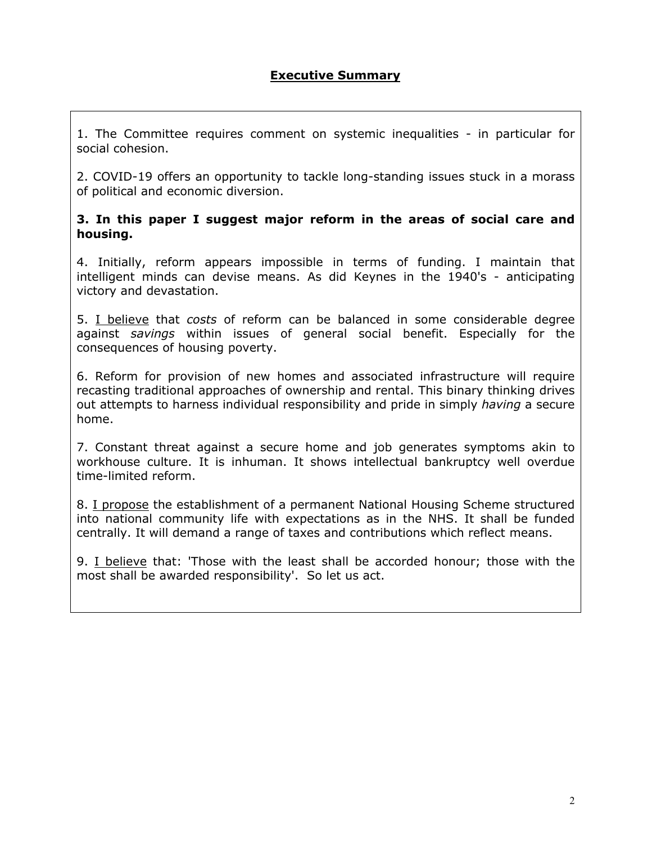1. The Committee requires comment on systemic inequalities - in particular for social cohesion.

2. COVID-19 offers an opportunity to tackle long-standing issues stuck in a morass of political and economic diversion.

#### **3. In this paper I suggest major reform in the areas of social care and housing.**

4. Initially, reform appears impossible in terms of funding. I maintain that intelligent minds can devise means. As did Keynes in the 1940's - anticipating victory and devastation.

5. I believe that *costs* of reform can be balanced in some considerable degree against *savings* within issues of general social benefit. Especially for the consequences of housing poverty.

6. Reform for provision of new homes and associated infrastructure will require recasting traditional approaches of ownership and rental. This binary thinking drives out attempts to harness individual responsibility and pride in simply *having* a secure home.

7. Constant threat against a secure home and job generates symptoms akin to workhouse culture. It is inhuman. It shows intellectual bankruptcy well overdue time-limited reform.

8. I propose the establishment of a permanent National Housing Scheme structured into national community life with expectations as in the NHS. It shall be funded centrally. It will demand a range of taxes and contributions which reflect means.

9. I believe that: 'Those with the least shall be accorded honour; those with the most shall be awarded responsibility'. So let us act.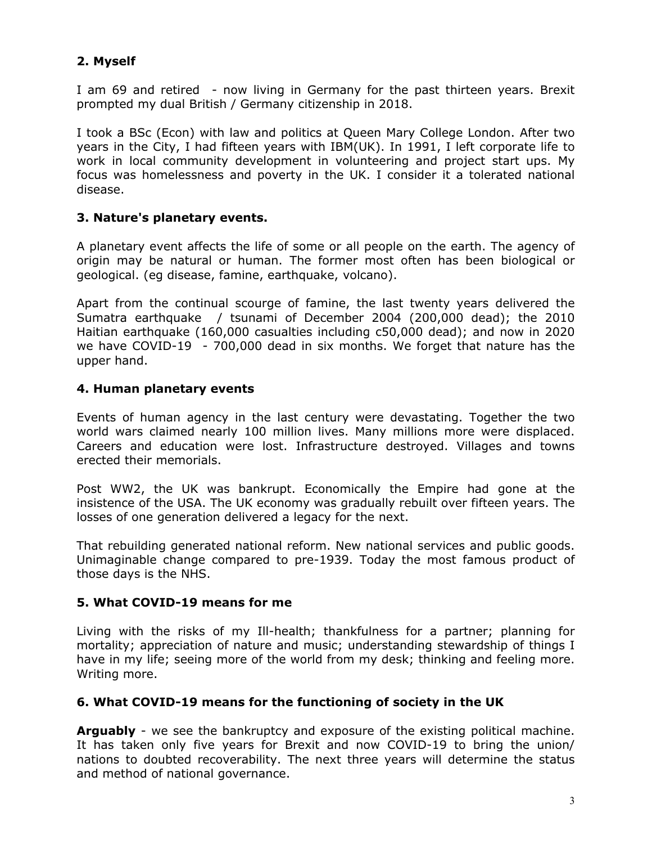# **2. Myself**

I am 69 and retired - now living in Germany for the past thirteen years. Brexit prompted my dual British / Germany citizenship in 2018.

I took a BSc (Econ) with law and politics at Queen Mary College London. After two years in the City, I had fifteen years with IBM(UK). In 1991, I left corporate life to work in local community development in volunteering and project start ups. My focus was homelessness and poverty in the UK. I consider it a tolerated national disease.

## **3. Nature's planetary events.**

A planetary event affects the life of some or all people on the earth. The agency of origin may be natural or human. The former most often has been biological or geological. (eg disease, famine, earthquake, volcano).

Apart from the continual scourge of famine, the last twenty years delivered the Sumatra earthquake / tsunami of December 2004 (200,000 dead); the 2010 Haitian earthquake (160,000 casualties including c50,000 dead); and now in 2020 we have COVID-19 - 700,000 dead in six months. We forget that nature has the upper hand.

## **4. Human planetary events**

Events of human agency in the last century were devastating. Together the two world wars claimed nearly 100 million lives. Many millions more were displaced. Careers and education were lost. Infrastructure destroyed. Villages and towns erected their memorials.

Post WW2, the UK was bankrupt. Economically the Empire had gone at the insistence of the USA. The UK economy was gradually rebuilt over fifteen years. The losses of one generation delivered a legacy for the next.

That rebuilding generated national reform. New national services and public goods. Unimaginable change compared to pre-1939. Today the most famous product of those days is the NHS.

#### **5. What COVID-19 means for me**

Living with the risks of my Ill-health; thankfulness for a partner; planning for mortality; appreciation of nature and music; understanding stewardship of things I have in my life; seeing more of the world from my desk; thinking and feeling more. Writing more.

#### **6. What COVID-19 means for the functioning of society in the UK**

**Arguably** - we see the bankruptcy and exposure of the existing political machine. It has taken only five years for Brexit and now COVID-19 to bring the union/ nations to doubted recoverability. The next three years will determine the status and method of national governance.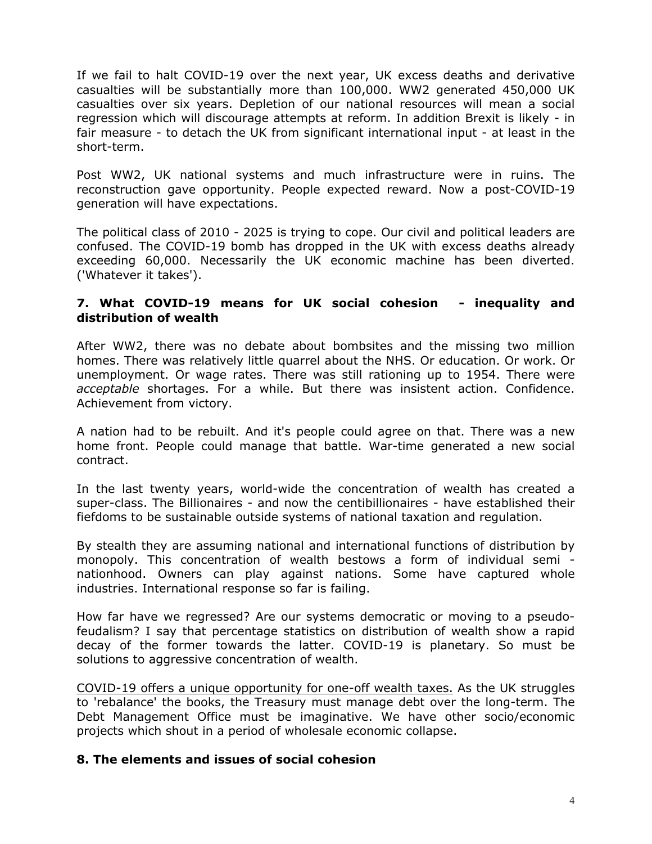If we fail to halt COVID-19 over the next year, UK excess deaths and derivative casualties will be substantially more than 100,000. WW2 generated 450,000 UK casualties over six years. Depletion of our national resources will mean a social regression which will discourage attempts at reform. In addition Brexit is likely - in fair measure - to detach the UK from significant international input - at least in the short-term.

Post WW2, UK national systems and much infrastructure were in ruins. The reconstruction gave opportunity. People expected reward. Now a post-COVID-19 generation will have expectations.

The political class of 2010 - 2025 is trying to cope. Our civil and political leaders are confused. The COVID-19 bomb has dropped in the UK with excess deaths already exceeding 60,000. Necessarily the UK economic machine has been diverted. ('Whatever it takes').

#### **7. What COVID-19 means for UK social cohesion - inequality and distribution of wealth**

After WW2, there was no debate about bombsites and the missing two million homes. There was relatively little quarrel about the NHS. Or education. Or work. Or unemployment. Or wage rates. There was still rationing up to 1954. There were *acceptable* shortages. For a while. But there was insistent action. Confidence. Achievement from victory.

A nation had to be rebuilt. And it's people could agree on that. There was a new home front. People could manage that battle. War-time generated a new social contract.

In the last twenty years, world-wide the concentration of wealth has created a super-class. The Billionaires - and now the centibillionaires - have established their fiefdoms to be sustainable outside systems of national taxation and regulation.

By stealth they are assuming national and international functions of distribution by monopoly. This concentration of wealth bestows a form of individual semi nationhood. Owners can play against nations. Some have captured whole industries. International response so far is failing.

How far have we regressed? Are our systems democratic or moving to a pseudofeudalism? I say that percentage statistics on distribution of wealth show a rapid decay of the former towards the latter. COVID-19 is planetary. So must be solutions to aggressive concentration of wealth.

COVID-19 offers a unique opportunity for one-off wealth taxes. As the UK struggles to 'rebalance' the books, the Treasury must manage debt over the long-term. The Debt Management Office must be imaginative. We have other socio/economic projects which shout in a period of wholesale economic collapse.

#### **8. The elements and issues of social cohesion**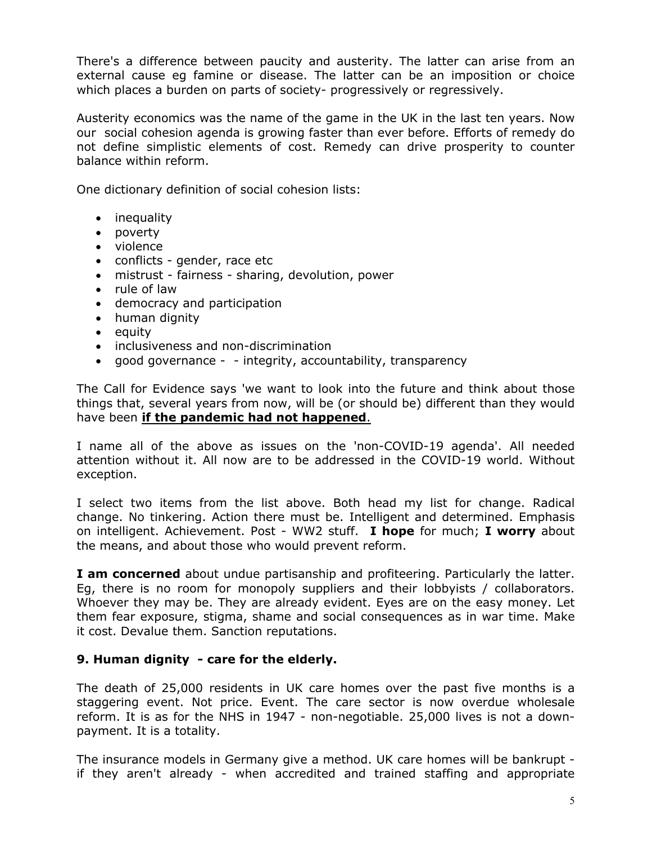There's a difference between paucity and austerity. The latter can arise from an external cause eg famine or disease. The latter can be an imposition or choice which places a burden on parts of society- progressively or regressively.

Austerity economics was the name of the game in the UK in the last ten years. Now our social cohesion agenda is growing faster than ever before. Efforts of remedy do not define simplistic elements of cost. Remedy can drive prosperity to counter balance within reform.

One dictionary definition of social cohesion lists:

- inequality
- poverty
- violence
- conflicts gender, race etc
- mistrust fairness sharing, devolution, power
- rule of law
- democracy and participation
- human dignity
- $\bullet$  equity
- inclusiveness and non-discrimination
- good governance - integrity, accountability, transparency

The Call for Evidence says 'we want to look into the future and think about those things that, several years from now, will be (or should be) different than they would have been **if the pandemic had not happened**.

I name all of the above as issues on the 'non-COVID-19 agenda'. All needed attention without it. All now are to be addressed in the COVID-19 world. Without exception.

I select two items from the list above. Both head my list for change. Radical change. No tinkering. Action there must be. Intelligent and determined. Emphasis on intelligent. Achievement. Post - WW2 stuff. **I hope** for much; **I worry** about the means, and about those who would prevent reform.

**I am concerned** about undue partisanship and profiteering. Particularly the latter. Eg, there is no room for monopoly suppliers and their lobbyists / collaborators. Whoever they may be. They are already evident. Eyes are on the easy money. Let them fear exposure, stigma, shame and social consequences as in war time. Make it cost. Devalue them. Sanction reputations.

#### **9. Human dignity - care for the elderly.**

The death of 25,000 residents in UK care homes over the past five months is a staggering event. Not price. Event. The care sector is now overdue wholesale reform. It is as for the NHS in 1947 - non-negotiable. 25,000 lives is not a downpayment. It is a totality.

The insurance models in Germany give a method. UK care homes will be bankrupt if they aren't already - when accredited and trained staffing and appropriate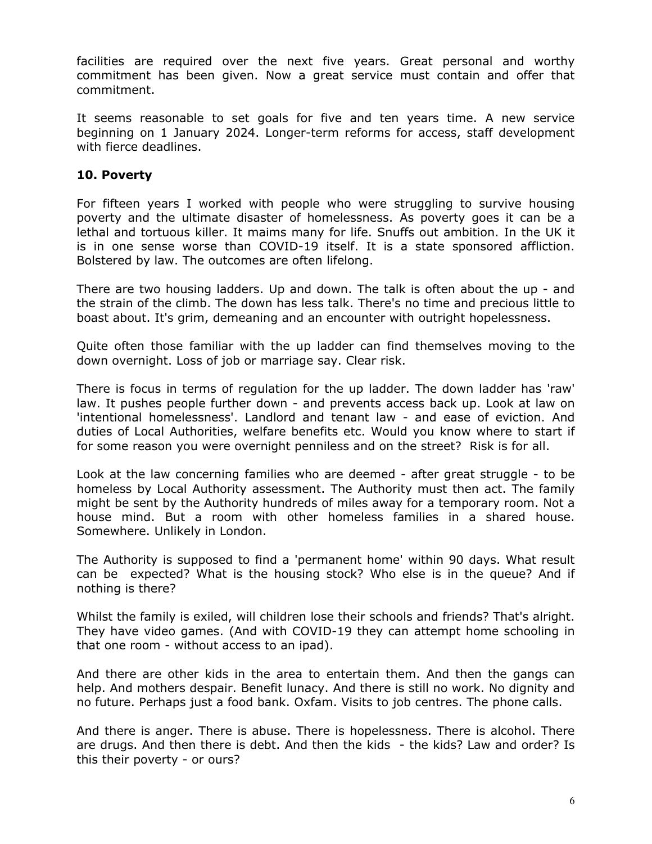facilities are required over the next five years. Great personal and worthy commitment has been given. Now a great service must contain and offer that commitment.

It seems reasonable to set goals for five and ten years time. A new service beginning on 1 January 2024. Longer-term reforms for access, staff development with fierce deadlines.

## **10. Poverty**

For fifteen years I worked with people who were struggling to survive housing poverty and the ultimate disaster of homelessness. As poverty goes it can be a lethal and tortuous killer. It maims many for life. Snuffs out ambition. In the UK it is in one sense worse than COVID-19 itself. It is a state sponsored affliction. Bolstered by law. The outcomes are often lifelong.

There are two housing ladders. Up and down. The talk is often about the up - and the strain of the climb. The down has less talk. There's no time and precious little to boast about. It's grim, demeaning and an encounter with outright hopelessness.

Quite often those familiar with the up ladder can find themselves moving to the down overnight. Loss of job or marriage say. Clear risk.

There is focus in terms of regulation for the up ladder. The down ladder has 'raw' law. It pushes people further down - and prevents access back up. Look at law on 'intentional homelessness'. Landlord and tenant law - and ease of eviction. And duties of Local Authorities, welfare benefits etc. Would you know where to start if for some reason you were overnight penniless and on the street? Risk is for all.

Look at the law concerning families who are deemed - after great struggle - to be homeless by Local Authority assessment. The Authority must then act. The family might be sent by the Authority hundreds of miles away for a temporary room. Not a house mind. But a room with other homeless families in a shared house. Somewhere. Unlikely in London.

The Authority is supposed to find a 'permanent home' within 90 days. What result can be expected? What is the housing stock? Who else is in the queue? And if nothing is there?

Whilst the family is exiled, will children lose their schools and friends? That's alright. They have video games. (And with COVID-19 they can attempt home schooling in that one room - without access to an ipad).

And there are other kids in the area to entertain them. And then the gangs can help. And mothers despair. Benefit lunacy. And there is still no work. No dignity and no future. Perhaps just a food bank. Oxfam. Visits to job centres. The phone calls.

And there is anger. There is abuse. There is hopelessness. There is alcohol. There are drugs. And then there is debt. And then the kids - the kids? Law and order? Is this their poverty - or ours?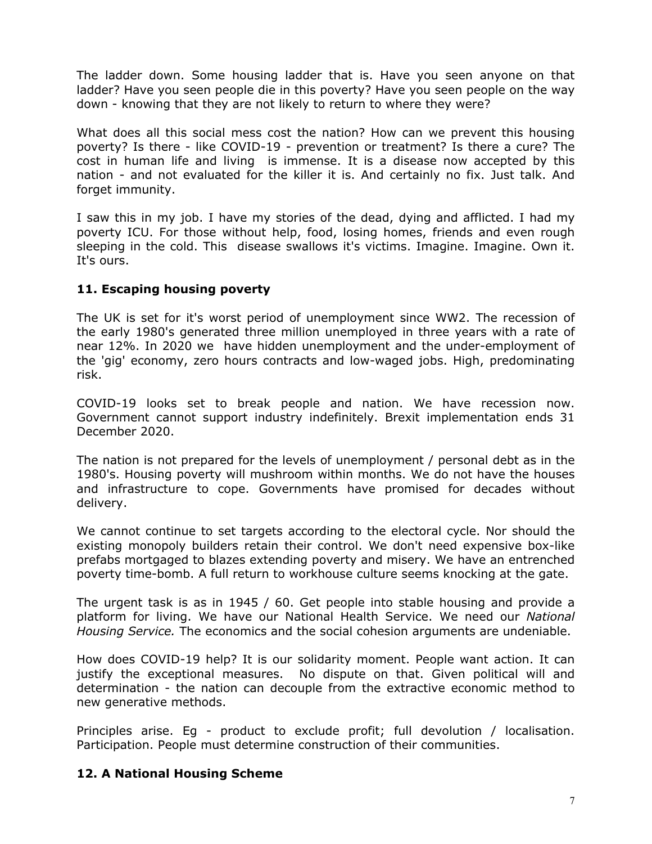The ladder down. Some housing ladder that is. Have you seen anyone on that ladder? Have you seen people die in this poverty? Have you seen people on the way down - knowing that they are not likely to return to where they were?

What does all this social mess cost the nation? How can we prevent this housing poverty? Is there - like COVID-19 - prevention or treatment? Is there a cure? The cost in human life and living is immense. It is a disease now accepted by this nation - and not evaluated for the killer it is. And certainly no fix. Just talk. And forget immunity.

I saw this in my job. I have my stories of the dead, dying and afflicted. I had my poverty ICU. For those without help, food, losing homes, friends and even rough sleeping in the cold. This disease swallows it's victims. Imagine. Imagine. Own it. It's ours.

## **11. Escaping housing poverty**

The UK is set for it's worst period of unemployment since WW2. The recession of the early 1980's generated three million unemployed in three years with a rate of near 12%. In 2020 we have hidden unemployment and the under-employment of the 'gig' economy, zero hours contracts and low-waged jobs. High, predominating risk.

COVID-19 looks set to break people and nation. We have recession now. Government cannot support industry indefinitely. Brexit implementation ends 31 December 2020.

The nation is not prepared for the levels of unemployment / personal debt as in the 1980's. Housing poverty will mushroom within months. We do not have the houses and infrastructure to cope. Governments have promised for decades without delivery.

We cannot continue to set targets according to the electoral cycle. Nor should the existing monopoly builders retain their control. We don't need expensive box-like prefabs mortgaged to blazes extending poverty and misery. We have an entrenched poverty time-bomb. A full return to workhouse culture seems knocking at the gate.

The urgent task is as in 1945 / 60. Get people into stable housing and provide a platform for living. We have our National Health Service. We need our *National Housing Service.* The economics and the social cohesion arguments are undeniable.

How does COVID-19 help? It is our solidarity moment. People want action. It can justify the exceptional measures. No dispute on that. Given political will and determination - the nation can decouple from the extractive economic method to new generative methods.

Principles arise. Eg - product to exclude profit; full devolution / localisation. Participation. People must determine construction of their communities.

# **12. A National Housing Scheme**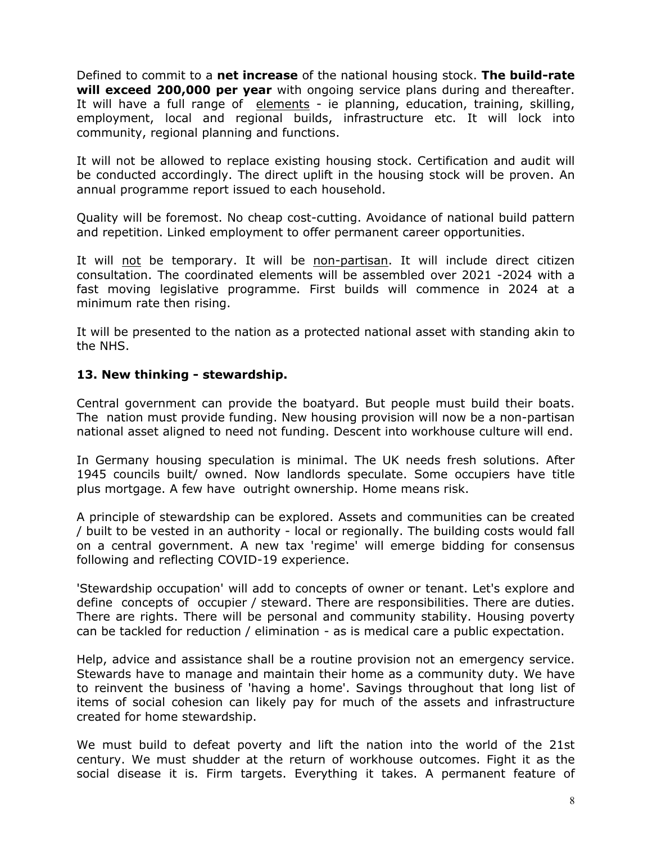Defined to commit to a **net increase** of the national housing stock. **The build-rate will exceed 200,000 per year** with ongoing service plans during and thereafter. It will have a full range of elements - ie planning, education, training, skilling, employment, local and regional builds, infrastructure etc. It will lock into community, regional planning and functions.

It will not be allowed to replace existing housing stock. Certification and audit will be conducted accordingly. The direct uplift in the housing stock will be proven. An annual programme report issued to each household.

Quality will be foremost. No cheap cost-cutting. Avoidance of national build pattern and repetition. Linked employment to offer permanent career opportunities.

It will not be temporary. It will be non-partisan. It will include direct citizen consultation. The coordinated elements will be assembled over 2021 -2024 with a fast moving legislative programme. First builds will commence in 2024 at a minimum rate then rising.

It will be presented to the nation as a protected national asset with standing akin to the NHS.

#### **13. New thinking - stewardship.**

Central government can provide the boatyard. But people must build their boats. The nation must provide funding. New housing provision will now be a non-partisan national asset aligned to need not funding. Descent into workhouse culture will end.

In Germany housing speculation is minimal. The UK needs fresh solutions. After 1945 councils built/ owned. Now landlords speculate. Some occupiers have title plus mortgage. A few have outright ownership. Home means risk.

A principle of stewardship can be explored. Assets and communities can be created / built to be vested in an authority - local or regionally. The building costs would fall on a central government. A new tax 'regime' will emerge bidding for consensus following and reflecting COVID-19 experience.

'Stewardship occupation' will add to concepts of owner or tenant. Let's explore and define concepts of occupier / steward. There are responsibilities. There are duties. There are rights. There will be personal and community stability. Housing poverty can be tackled for reduction / elimination - as is medical care a public expectation.

Help, advice and assistance shall be a routine provision not an emergency service. Stewards have to manage and maintain their home as a community duty. We have to reinvent the business of 'having a home'. Savings throughout that long list of items of social cohesion can likely pay for much of the assets and infrastructure created for home stewardship.

We must build to defeat poverty and lift the nation into the world of the 21st century. We must shudder at the return of workhouse outcomes. Fight it as the social disease it is. Firm targets. Everything it takes. A permanent feature of